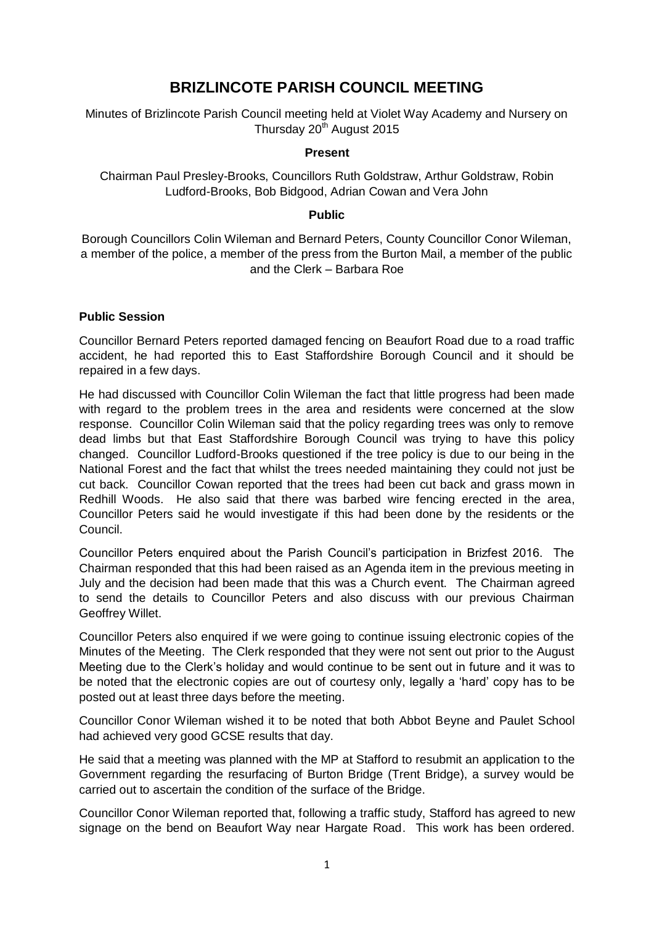# **BRIZLINCOTE PARISH COUNCIL MEETING**

Minutes of Brizlincote Parish Council meeting held at Violet Way Academy and Nursery on Thursday 20<sup>th</sup> August 2015

#### **Present**

Chairman Paul Presley-Brooks, Councillors Ruth Goldstraw, Arthur Goldstraw, Robin Ludford-Brooks, Bob Bidgood, Adrian Cowan and Vera John

#### **Public**

Borough Councillors Colin Wileman and Bernard Peters, County Councillor Conor Wileman, a member of the police, a member of the press from the Burton Mail, a member of the public and the Clerk – Barbara Roe

# **Public Session**

Councillor Bernard Peters reported damaged fencing on Beaufort Road due to a road traffic accident, he had reported this to East Staffordshire Borough Council and it should be repaired in a few days.

He had discussed with Councillor Colin Wileman the fact that little progress had been made with regard to the problem trees in the area and residents were concerned at the slow response. Councillor Colin Wileman said that the policy regarding trees was only to remove dead limbs but that East Staffordshire Borough Council was trying to have this policy changed. Councillor Ludford-Brooks questioned if the tree policy is due to our being in the National Forest and the fact that whilst the trees needed maintaining they could not just be cut back. Councillor Cowan reported that the trees had been cut back and grass mown in Redhill Woods. He also said that there was barbed wire fencing erected in the area, Councillor Peters said he would investigate if this had been done by the residents or the Council.

Councillor Peters enquired about the Parish Council's participation in Brizfest 2016. The Chairman responded that this had been raised as an Agenda item in the previous meeting in July and the decision had been made that this was a Church event. The Chairman agreed to send the details to Councillor Peters and also discuss with our previous Chairman Geoffrey Willet.

Councillor Peters also enquired if we were going to continue issuing electronic copies of the Minutes of the Meeting. The Clerk responded that they were not sent out prior to the August Meeting due to the Clerk's holiday and would continue to be sent out in future and it was to be noted that the electronic copies are out of courtesy only, legally a 'hard' copy has to be posted out at least three days before the meeting.

Councillor Conor Wileman wished it to be noted that both Abbot Beyne and Paulet School had achieved very good GCSE results that day.

He said that a meeting was planned with the MP at Stafford to resubmit an application to the Government regarding the resurfacing of Burton Bridge (Trent Bridge), a survey would be carried out to ascertain the condition of the surface of the Bridge.

Councillor Conor Wileman reported that, following a traffic study, Stafford has agreed to new signage on the bend on Beaufort Way near Hargate Road. This work has been ordered.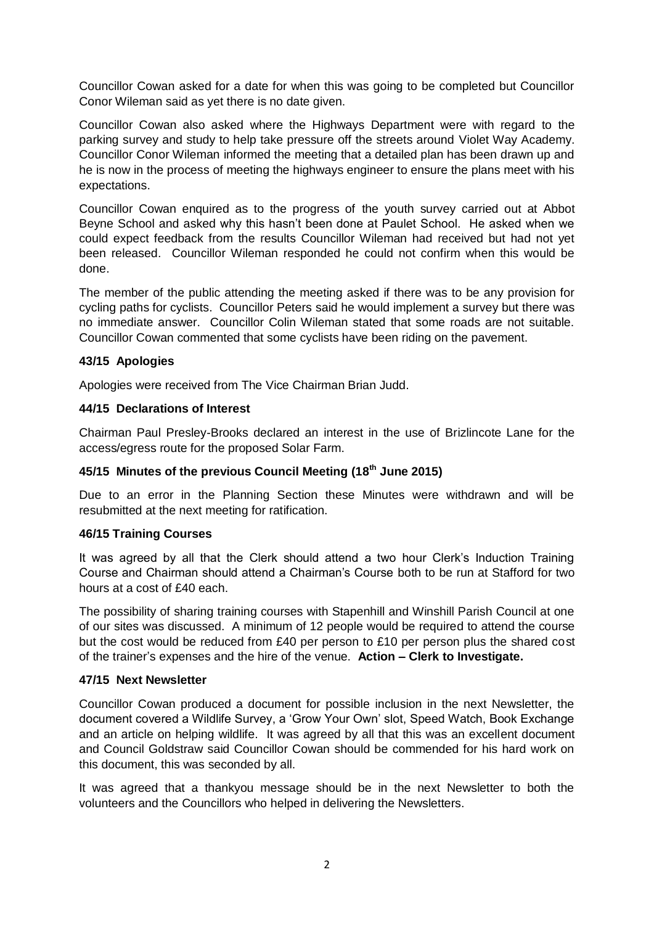Councillor Cowan asked for a date for when this was going to be completed but Councillor Conor Wileman said as yet there is no date given.

Councillor Cowan also asked where the Highways Department were with regard to the parking survey and study to help take pressure off the streets around Violet Way Academy. Councillor Conor Wileman informed the meeting that a detailed plan has been drawn up and he is now in the process of meeting the highways engineer to ensure the plans meet with his expectations.

Councillor Cowan enquired as to the progress of the youth survey carried out at Abbot Beyne School and asked why this hasn't been done at Paulet School. He asked when we could expect feedback from the results Councillor Wileman had received but had not yet been released. Councillor Wileman responded he could not confirm when this would be done.

The member of the public attending the meeting asked if there was to be any provision for cycling paths for cyclists. Councillor Peters said he would implement a survey but there was no immediate answer. Councillor Colin Wileman stated that some roads are not suitable. Councillor Cowan commented that some cyclists have been riding on the pavement.

# **43/15 Apologies**

Apologies were received from The Vice Chairman Brian Judd.

# **44/15 Declarations of Interest**

Chairman Paul Presley-Brooks declared an interest in the use of Brizlincote Lane for the access/egress route for the proposed Solar Farm.

# **45/15 Minutes of the previous Council Meeting (18 th June 2015)**

Due to an error in the Planning Section these Minutes were withdrawn and will be resubmitted at the next meeting for ratification.

# **46/15 Training Courses**

It was agreed by all that the Clerk should attend a two hour Clerk's Induction Training Course and Chairman should attend a Chairman's Course both to be run at Stafford for two hours at a cost of £40 each.

The possibility of sharing training courses with Stapenhill and Winshill Parish Council at one of our sites was discussed. A minimum of 12 people would be required to attend the course but the cost would be reduced from £40 per person to £10 per person plus the shared cost of the trainer's expenses and the hire of the venue. **Action – Clerk to Investigate.**

# **47/15 Next Newsletter**

Councillor Cowan produced a document for possible inclusion in the next Newsletter, the document covered a Wildlife Survey, a 'Grow Your Own' slot, Speed Watch, Book Exchange and an article on helping wildlife. It was agreed by all that this was an excellent document and Council Goldstraw said Councillor Cowan should be commended for his hard work on this document, this was seconded by all.

It was agreed that a thankyou message should be in the next Newsletter to both the volunteers and the Councillors who helped in delivering the Newsletters.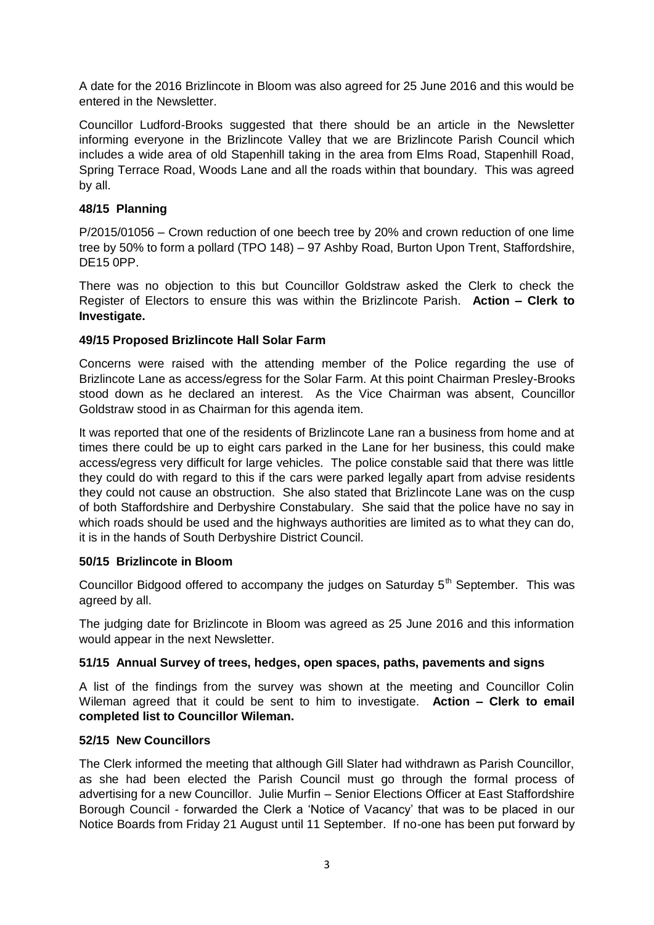A date for the 2016 Brizlincote in Bloom was also agreed for 25 June 2016 and this would be entered in the Newsletter.

Councillor Ludford-Brooks suggested that there should be an article in the Newsletter informing everyone in the Brizlincote Valley that we are Brizlincote Parish Council which includes a wide area of old Stapenhill taking in the area from Elms Road, Stapenhill Road, Spring Terrace Road, Woods Lane and all the roads within that boundary. This was agreed by all.

# **48/15 Planning**

P/2015/01056 – Crown reduction of one beech tree by 20% and crown reduction of one lime tree by 50% to form a pollard (TPO 148) – 97 Ashby Road, Burton Upon Trent, Staffordshire, DE15 0PP.

There was no objection to this but Councillor Goldstraw asked the Clerk to check the Register of Electors to ensure this was within the Brizlincote Parish. **Action – Clerk to Investigate.**

# **49/15 Proposed Brizlincote Hall Solar Farm**

Concerns were raised with the attending member of the Police regarding the use of Brizlincote Lane as access/egress for the Solar Farm. At this point Chairman Presley-Brooks stood down as he declared an interest. As the Vice Chairman was absent, Councillor Goldstraw stood in as Chairman for this agenda item.

It was reported that one of the residents of Brizlincote Lane ran a business from home and at times there could be up to eight cars parked in the Lane for her business, this could make access/egress very difficult for large vehicles. The police constable said that there was little they could do with regard to this if the cars were parked legally apart from advise residents they could not cause an obstruction. She also stated that Brizlincote Lane was on the cusp of both Staffordshire and Derbyshire Constabulary. She said that the police have no say in which roads should be used and the highways authorities are limited as to what they can do, it is in the hands of South Derbyshire District Council.

# **50/15 Brizlincote in Bloom**

Councillor Bidgood offered to accompany the judges on Saturday  $5<sup>th</sup>$  September. This was agreed by all.

The judging date for Brizlincote in Bloom was agreed as 25 June 2016 and this information would appear in the next Newsletter.

# **51/15 Annual Survey of trees, hedges, open spaces, paths, pavements and signs**

A list of the findings from the survey was shown at the meeting and Councillor Colin Wileman agreed that it could be sent to him to investigate. **Action – Clerk to email completed list to Councillor Wileman.**

# **52/15 New Councillors**

The Clerk informed the meeting that although Gill Slater had withdrawn as Parish Councillor, as she had been elected the Parish Council must go through the formal process of advertising for a new Councillor. Julie Murfin – Senior Elections Officer at East Staffordshire Borough Council - forwarded the Clerk a 'Notice of Vacancy' that was to be placed in our Notice Boards from Friday 21 August until 11 September. If no-one has been put forward by